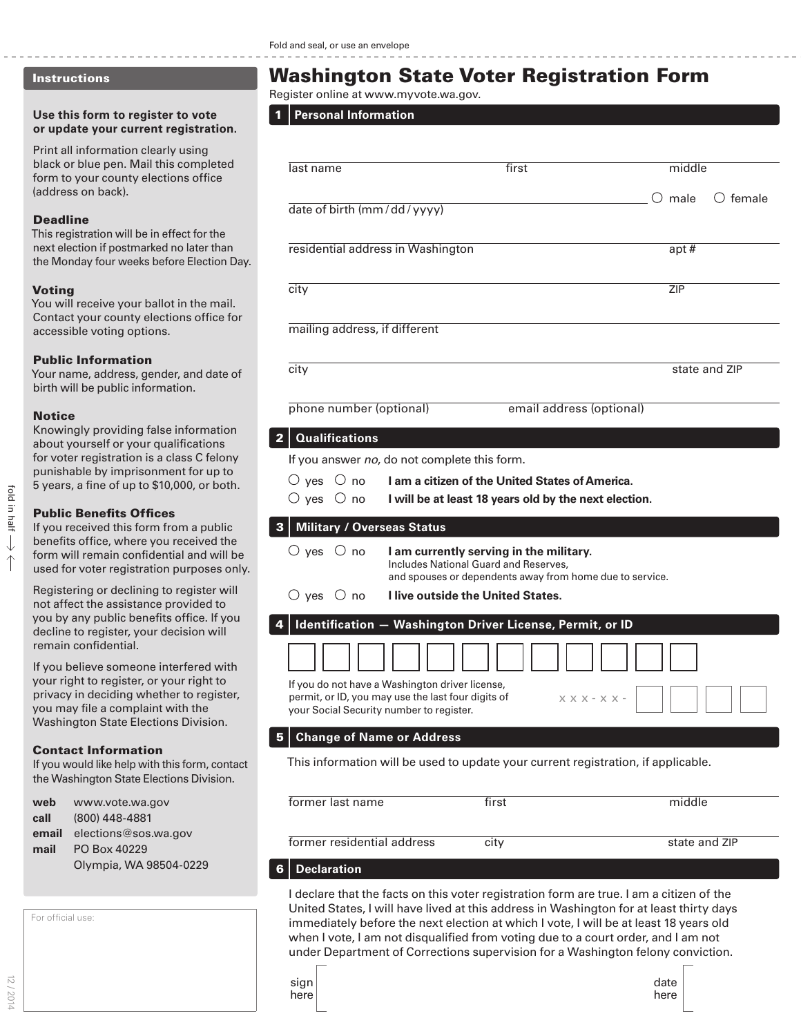## Instructions

#### **Use this form to register to vote or update your current registration.**

Print all information clearly using black or blue pen. Mail this completed form to your county elections office (address on back).

#### Deadline

This registration will be in effect for the next election if postmarked no later than the Monday four weeks before Election Day.

## Voting

You will receive your ballot in the mail. Contact your county elections office for accessible voting options.

#### Public Information

Your name, address, gender, and date of birth will be public information.

#### Notice

Knowingly providing false information about yourself or your qualifications for voter registration is a class C felony punishable by imprisonment for up to 5 years, a fine of up to \$10,000, or both.

## Public Benefits Offices

If you received this form from a public benefits office, where you received the form will remain confidential and will be used for voter registration purposes only.

Registering or declining to register will not affect the assistance provided to you by any public benefits office. If you decline to register, your decision will remain confidential.

If you believe someone interfered with your right to register, or your right to privacy in deciding whether to register, you may file a complaint with the Washington State Elections Division.

## Contact Information

If you would like help with this form, contact the Washington State Elections Division.

| web   | www.vote.wa.gov        |  |
|-------|------------------------|--|
| call  | (800) 448-4881         |  |
| email | elections@sos.wa.gov   |  |
| mail  | PO Box 40229           |  |
|       | Olympia, WA 98504-0229 |  |

| For official use: |  |
|-------------------|--|
|                   |  |

12 / 2014

# Washington State Voter Registration Form

Register online at www.myvote.wa.gov.

## 1 **Personal Information**

| last name                                | first                                                                                                    | middle      |                   |
|------------------------------------------|----------------------------------------------------------------------------------------------------------|-------------|-------------------|
|                                          |                                                                                                          | $\cup$ male | $\bigcirc$ female |
| date of birth (mm/dd/yyyy)               |                                                                                                          |             |                   |
|                                          |                                                                                                          |             |                   |
| residential address in Washington        |                                                                                                          | apt#        |                   |
|                                          |                                                                                                          | <b>ZIP</b>  |                   |
| city                                     |                                                                                                          |             |                   |
| mailing address, if different            |                                                                                                          |             |                   |
|                                          |                                                                                                          |             |                   |
| city                                     |                                                                                                          |             | state and ZIP     |
|                                          |                                                                                                          |             |                   |
| phone number (optional)                  | email address (optional)                                                                                 |             |                   |
| <b>Qualifications</b><br>2               |                                                                                                          |             |                   |
|                                          |                                                                                                          |             |                   |
| $\circ$ yes $\circ$ no                   | If you answer no, do not complete this form.                                                             |             |                   |
| $\bigcirc$ yes $\bigcirc$ no             | I am a citizen of the United States of America.<br>I will be at least 18 years old by the next election. |             |                   |
|                                          |                                                                                                          |             |                   |
| Military / Overseas Status<br>3          |                                                                                                          |             |                   |
| $\bigcirc$ yes $\bigcirc$ no             | I am currently serving in the military.                                                                  |             |                   |
|                                          | Includes National Guard and Reserves,<br>and spouses or dependents away from home due to service.        |             |                   |
| $\bigcirc$ yes $\bigcirc$ no             | <b>I live outside the United States.</b>                                                                 |             |                   |
|                                          | Identification - Washington Driver License, Permit, or ID                                                |             |                   |
|                                          |                                                                                                          |             |                   |
|                                          |                                                                                                          |             |                   |
|                                          | If you do not have a Washington driver license,                                                          |             |                   |
| your Social Security number to register. | permit, or ID, you may use the last four digits of<br>$X$ X X - X X -                                    |             |                   |
|                                          |                                                                                                          |             |                   |
| 5<br><b>Change of Name or Address</b>    |                                                                                                          |             |                   |
|                                          | This information will be used to update your current registration, if applicable.                        |             |                   |
|                                          |                                                                                                          |             |                   |
| former last name                         | first                                                                                                    | middle      |                   |
|                                          |                                                                                                          |             |                   |

## 6 **Declaration**

I declare that the facts on this voter registration form are true. I am a citizen of the United States, I will have lived at this address in Washington for at least thirty days immediately before the next election at which I vote, I will be at least 18 years old when I vote, I am not disqualified from voting due to a court order, and I am not under Department of Corrections supervision for a Washington felony conviction.

former residential address city city state and ZIP

| sıgn |  |
|------|--|
|      |  |
| here |  |
|      |  |

L

ı

ı

L

date here

fold in half

fold in half

 $\downarrow$